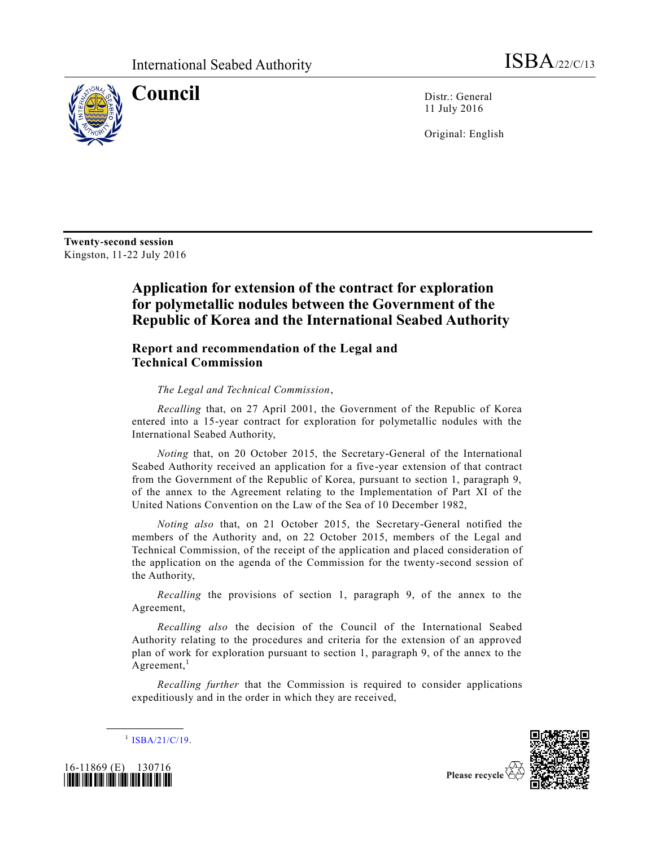

**Council** Distr.: General 11 July 2016

Original: English

**Twenty-second session** Kingston, 11-22 July 2016

## **Application for extension of the contract for exploration for polymetallic nodules between the Government of the Republic of Korea and the International Seabed Authority**

## **Report and recommendation of the Legal and Technical Commission**

*The Legal and Technical Commission*,

*Recalling* that, on 27 April 2001, the Government of the Republic of Korea entered into a 15-year contract for exploration for polymetallic nodules with the International Seabed Authority,

*Noting* that, on 20 October 2015, the Secretary-General of the International Seabed Authority received an application for a five-year extension of that contract from the Government of the Republic of Korea, pursuant to section 1, paragraph 9, of the annex to the Agreement relating to the Implementation of Part XI of the United Nations Convention on the Law of the Sea of 10 December 1982,

*Noting also* that, on 21 October 2015, the Secretary-General notified the members of the Authority and, on 22 October 2015, members of the Legal and Technical Commission, of the receipt of the application and placed consideration of the application on the agenda of the Commission for the twenty-second session of the Authority,

*Recalling* the provisions of section 1, paragraph 9, of the annex to the Agreement,

*Recalling also* the decision of the Council of the International Seabed Authority relating to the procedures and criteria for the extension of an approved plan of work for exploration pursuant to section 1, paragraph 9, of the annex to the Agreement, $<sup>1</sup>$ </sup>

*Recalling further* that the Commission is required to consider applications expeditiously and in the order in which they are received,



**\_\_\_\_\_\_\_\_\_\_\_\_\_\_\_\_\_\_**



Please recycle